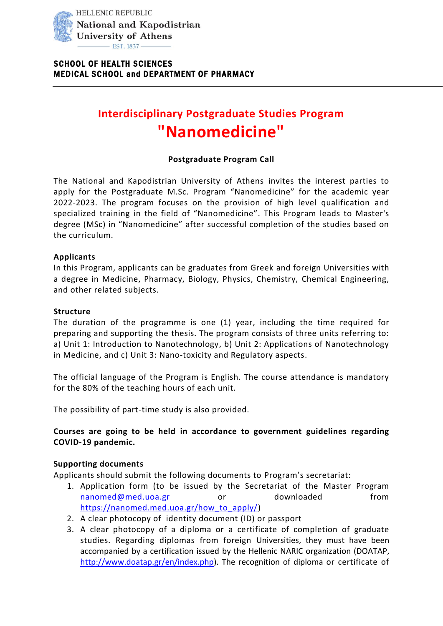

# **Interdisciplinary Postgraduate Studies Program "Nanomedicine"**

## **Postgraduate Program Call**

The National and Kapodistrian University of Athens invites the interest parties to apply for the Postgraduate M.Sc. Program "Nanomedicine" for the academic year 2022-2023. The program focuses on the provision of high level qualification and specialized training in the field of "Nanomedicine". This Program leads to Master's degree (MSc) in "Nanomedicine" after successful completion of the studies based on the curriculum.

#### **Applicants**

In this Program, applicants can be graduates from Greek and foreign Universities with a degree in Medicine, Pharmacy, Biology, Physics, Chemistry, Chemical Engineering, and other related subjects.

#### **Structure**

The duration of the programme is one (1) year, including the time required for preparing and supporting the thesis. The program consists of three units referring to: a) Unit 1: Introduction to Nanotechnology, b) Unit 2: Applications of Nanotechnology in Medicine, and c) Unit 3: Nano-toxicity and Regulatory aspects.

The official language of the Program is English. The course attendance is mandatory for the 80% of the teaching hours of each unit.

The possibility of part-time study is also provided.

## **Courses are going to be held in accordance to government guidelines regarding COVID-19 pandemic.**

#### **Supporting documents**

Applicants should submit the following documents to Program's secretariat:

- 1. Application form (to be issued by the Secretariat of the Master Program [nanomed@med.uoa.gr](mailto:nanomed@med.uoa.gr) or downloaded from [https://nanomed.med.uoa.gr/how\\_to\\_apply/\)](https://nanomed.med.uoa.gr/how_to_apply/)
- 2. A clear photocopy of identity document (ID) or passport
- 3. A clear photocopy of a diploma or a certificate of completion of graduate studies. Regarding diplomas from foreign Universities, they must have been accompanied by a certification issued by the Hellenic NARIC organization (DOATAP, [http://www.doatap.gr/en/index.php\)](http://www.doatap.gr/en/index.php). The recognition of diploma or certificate of